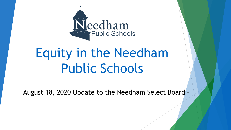

# Equity in the Needham Public Schools

- August 18, 2020 Update to the Needham Select Board –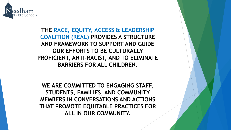

**THE RACE, EQUITY, ACCESS & LEADERSHIP COALITION (REAL) PROVIDES A STRUCTURE AND FRAMEWORK TO SUPPORT AND GUIDE OUR EFFORTS TO BE CULTURALLY PROFICIENT, ANTI-RACIST, AND TO ELIMINATE BARRIERS FOR ALL CHILDREN.**

**WE ARE COMMITTED TO ENGAGING STAFF, STUDENTS, FAMILIES, AND COMMUNITY MEMBERS IN CONVERSATIONS AND ACTIONS THAT PROMOTE EQUITABLE PRACTICES FOR ALL IN OUR COMMUNITY.**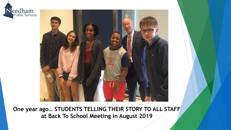



**One year ago… STUDENTS TELLING THEIR STORY TO ALL STAFF at Back To School Meeting in August 2019**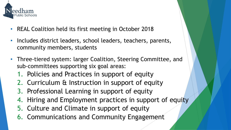

- REAL Coalition held its first meeting in October 2018
- Includes district leaders, school leaders, teachers, parents, community members, students
- Three-tiered system: larger Coalition, Steering Committee, and sub-committees supporting six goal areas:
	- 1. Policies and Practices in support of equity
	- 2. Curriculum & Instruction in support of equity
	- 3. Professional Learning in support of equity
	- 4. Hiring and Employment practices in support of equity
	- 5. Culture and Climate in support of equity
	- 6. Communications and Community Engagement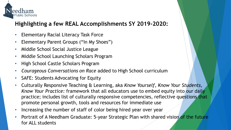

## **Highlighting a few REAL Accomplishments SY 2019-2020:**

- Elementary Racial Literacy Task Force
- Elementary Parent Groups ("In My Shoes")
- Middle School Social Justice League
- Middle School Launching Scholars Program
- High School Castle Scholars Program
- *Courageous Conversations on Race* added to High School curriculum
- SAFE: Students Advocating for Equity
- Culturally Responsive Teaching & Learning, aka *Know Yourself, Know Your Students, Know Your Practice:* framework that all educators use to embed equity into our daily practice; includes list of culturally responsive competencies, reflective questions that promote personal growth, tools and resources for immediate use
- Increasing the number of staff of color being hired year over year
- Portrait of A Needham Graduate: 5-year Strategic Plan with shared vision of the future for ALL students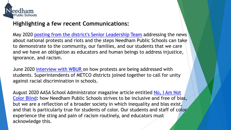

## **Highlighting a few recent Communications:**

May 2020 [posting from the district's Senior Leadership Team](https://docs.google.com/document/d/1sUXhgEfX-OHbqjA8Q7tMdBIpYuLtlyOH0wHp0nN8DME/edit?usp=sharing) addressing the news about national protests and riots and the steps Needham Public Schools can take to demonstrate to the community, our families, and our students that we care and we have an obligation as educators and human beings to address injustice, ignorance, and racism.

June 2020 [interview with WBUR o](https://www.wbur.org/news/2020/06/05/metco-superintendents-racial-justice)n how protests are being addressed with students. Superintendents of METCO districts joined together to call for unity against racial discrimination in schools.

August 2020 AASA School Administrator magazine article entitled No, I Am Not Color Blind**:** [how Needham Public Schools strives to be inclusive and free of bia](https://drive.google.com/file/d/1vN-l9Iccg8k0IIgL8F5K56FFSQxzmu9Q/view?usp=sharing)s, but we are a reflection of a broader society in which inequality and bias exist, and that is particularly true for students of color. Our students and staff of color experience the sting and pain of racism routinely, and educators must acknowledge this.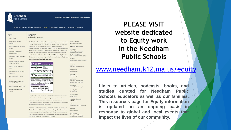

Scholarship - Citizenship - Community - Personal Growth

Home District Info Schools Departments Equity Community Ed Calendars Employment Contact Us

Equity Equity Needham Public Schools / Equity REAL Coalition Equity Updates to School Daniel E. Gutekanst The district's working definition of equity, proposed by our Superintendent as a unerintendent of Schools Committee starting point for our work, is the basis for the development of curriculum and Policies and Practices In Support assessments, the design of learning activities, the purchase of books and **REAL COALITION** members: of Equity materials, hiring staff, the facilitation of meetings, and just generally going about Mary Lammi the business of school. Equity is in the forefront, and staff take action based on Assistant Superintendent for Curriculum & Instruction In its intent and meaning as we continue to make progress toward this district Student Support Services Support of Equity 781-455-0400 x11213 priority. (See Superintendent's Blog Back to School: It's All About Equity and for mary lammi@needham.k12.ma.us Professional Learning In Support the student perspective on equity, see Needham School Spotlight video featuring of Equity Alex McNeil leaders of Students Advocating for Equity (SAFE). Assistant Superintendent for Human Hiring & Employment Practices Resources In Support of Equity Eq.ui.ty 'e-kwa-te noun Keith Ford Culture & Climate In Support of High School Assistant Principal **Just fair** *inclusion* Equity Tamatha Bibbo  $\mathcal{C}^{\text{\tiny tree}}_{\text{\tiny \rm{off}}}$ nurturing Pollard Principal **Communications & Community** Engagement Greg Bayse **GROW** create **ACHIEVE**, Mitchell Principal What It Means to be a METCO District Steve Plasko **ÜNDERSTANDING!EACI** High School History & Social

School Highlights: Equity Work Across the District

Equity Audit Report - March 2018

Equity Audit Initial Findings -Dec 2017

which strengthen learning for **CIII** A PROCESS BY WHICH WE

ensure justice **ENGENDER RESPECT** inspire hope

we promote justice, engender respect, and inspire hope.

Equity: Fair and just access, inclusion, and participation; the practice of nurturing a learning

environment in which all children are empowered to grow, create, and achieve; freedom from

attributes and brings these to the classroom which strengthen learning for all; a process by which

bias and discrimination; an understanding that each child possesses personal gifts and

**Berlins** 

Andrea Vargas

**Sciences Department Chair** 

Newman Assistant Principal Jamie Singelais ELL Coordinator

George Goneconto Hillside Teacher Joanne Allen-Willoughby **METCO Director** Leslie Smart

Middle School METCO Coordinator

Diane Simmons

There is no place for bigotry, racism, homophobia, or hate in the classrooms of Tom Denton the Needham Public Schools. All students and staff, regardless of race, color, sex, Guidance Director homeless status, gender identity, religion, national origin, sexual orientation ability, socioeconomic status, or immigration status, have dignity and are valued Director, Strategic Planning and contributing members of our learning community. and Community Engagement

**PLEASE VISIT website dedicated to Equity work in the Needham Public Schools**

#### [www.needham.k12.ma.us/equity](http://www.needham.k12.ma.us/equity)

**Links to articles, podcasts, books, and studies curated for Needham Public Schools educators as well as our families. This resources page for Equity information is updated on an ongoing basis in response to global and local events that impact the lives of our community.**